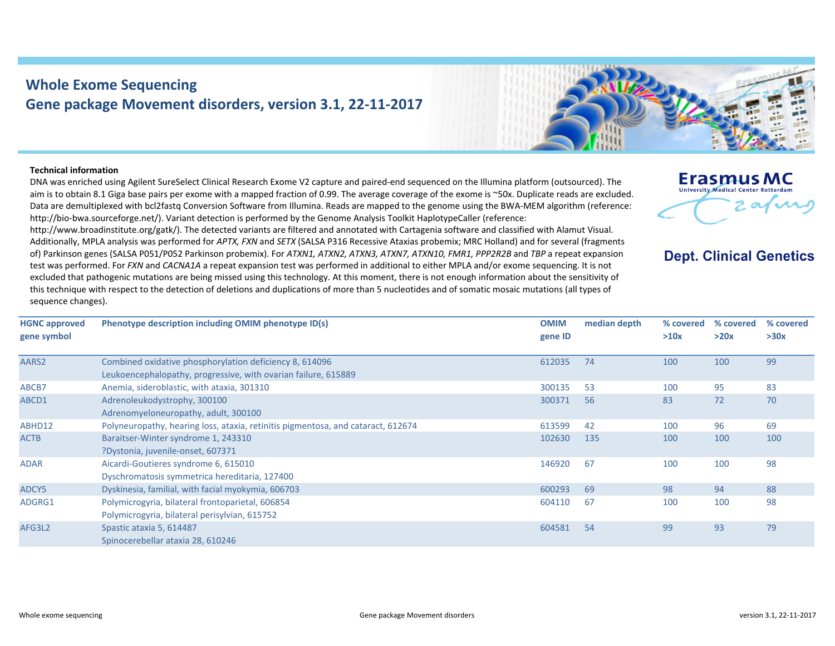## **Whole Exome Sequencing Gene package Movement disorders, version 3.1, 22‐11‐2017**



## **Technical information**

DNA was enriched using Agilent SureSelect Clinical Research Exome V2 capture and paired‐end sequenced on the Illumina platform (outsourced). The aim is to obtain 8.1 Giga base pairs per exome with <sup>a</sup> mapped fraction of 0.99. The average coverage of the exome is ~50x. Duplicate reads are excluded. Data are demultiplexed with bcl2fastq Conversion Software from Illumina. Reads are mapped to the genome using the BWA‐MEM algorithm (reference: http://bio-bwa.sourceforge.net/). Variant detection is performed by the Genome Analysis Toolkit HaplotypeCaller (reference:

http://www.broadinstitute.org/gatk/). The detected variants are filtered and annotated with Cartagenia software and classified with Alamut Visual. Additionally, MPLA analysis was performed for *APTX, FXN* and *SETX* (SALSA P316 Recessive Ataxias probemix; MRC Holland) and for several (fragments of) Parkinson genes (SALSA P051/P052 Parkinson probemix). For *ATXN1, ATXN2, ATXN3, ATXN7, ATXN10, FMR1, PPP2R2B* and *TBP* <sup>a</sup> repeat expansion test was performed. For *FXN* and *CACNA1A* <sup>a</sup> repeat expansion test was performed in additional to either MPLA and/or exome sequencing. It is not excluded that pathogenic mutations are being missed using this technology. At this moment, there is not enough information about the sensitivity of this technique with respect to the detection of deletions and duplications of more than 5 nucleotides and of somatic mosaic mutations (all types of sequence changes).



## **Dept. Clinical Genetics**

| <b>HGNC approved</b><br>gene symbol | Phenotype description including OMIM phenotype ID(s)                             | <b>OMIM</b><br>gene ID | median depth | % covered<br>>10x | % covered<br>>20x | % covered<br>>30x |
|-------------------------------------|----------------------------------------------------------------------------------|------------------------|--------------|-------------------|-------------------|-------------------|
|                                     |                                                                                  |                        |              |                   |                   |                   |
| AARS2                               | Combined oxidative phosphorylation deficiency 8, 614096                          | 612035                 | 74           | 100               | 100               | 99                |
|                                     | Leukoencephalopathy, progressive, with ovarian failure, 615889                   |                        |              |                   |                   |                   |
| ABCB7                               | Anemia, sideroblastic, with ataxia, 301310                                       | 300135                 | 53           | 100               | 95                | 83                |
| ABCD1                               | Adrenoleukodystrophy, 300100                                                     | 300371                 | 56           | 83                | 72                | 70                |
|                                     | Adrenomyeloneuropathy, adult, 300100                                             |                        |              |                   |                   |                   |
| ABHD12                              | Polyneuropathy, hearing loss, ataxia, retinitis pigmentosa, and cataract, 612674 | 613599                 | 42           | 100               | 96                | 69                |
| <b>ACTB</b>                         | Baraitser-Winter syndrome 1, 243310                                              | 102630                 | 135          | 100               | 100               | 100               |
|                                     | ?Dystonia, juvenile-onset, 607371                                                |                        |              |                   |                   |                   |
| <b>ADAR</b>                         | Aicardi-Goutieres syndrome 6, 615010                                             | 146920                 | 67           | 100               | 100               | 98                |
|                                     | Dyschromatosis symmetrica hereditaria, 127400                                    |                        |              |                   |                   |                   |
| ADCY5                               | Dyskinesia, familial, with facial myokymia, 606703                               | 600293                 | 69           | 98                | 94                | 88                |
| ADGRG1                              | Polymicrogyria, bilateral frontoparietal, 606854                                 | 604110                 | 67           | 100               | 100               | 98                |
|                                     | Polymicrogyria, bilateral perisylvian, 615752                                    |                        |              |                   |                   |                   |
| AFG3L2                              | Spastic ataxia 5, 614487                                                         | 604581                 | 54           | 99                | 93                | 79                |
|                                     | Spinocerebellar ataxia 28, 610246                                                |                        |              |                   |                   |                   |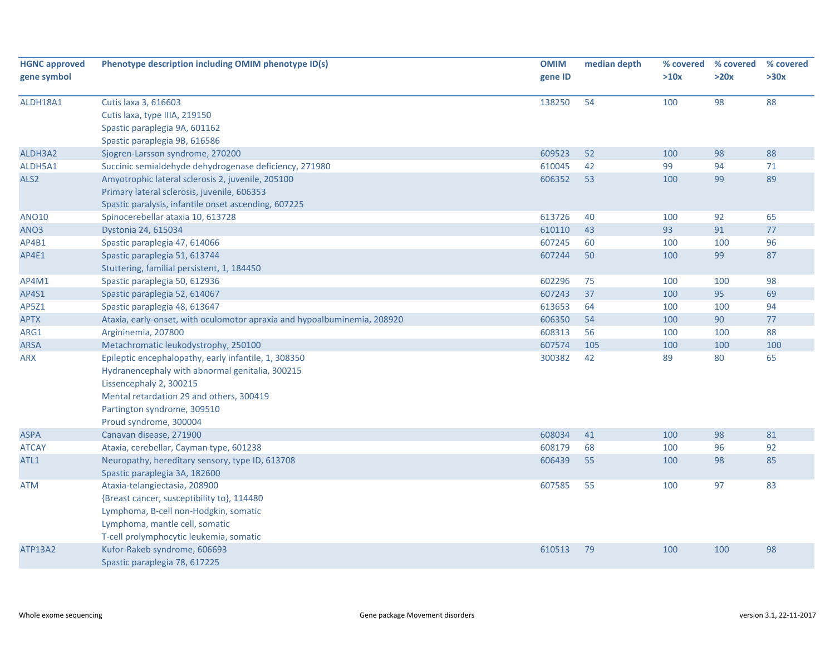| <b>HGNC approved</b><br>gene symbol | Phenotype description including OMIM phenotype ID(s)                     | <b>OMIM</b><br>gene ID | median depth | >10x | % covered % covered<br>>20x | % covered<br>>30x |
|-------------------------------------|--------------------------------------------------------------------------|------------------------|--------------|------|-----------------------------|-------------------|
|                                     |                                                                          |                        |              |      |                             |                   |
| ALDH18A1                            | Cutis laxa 3, 616603                                                     | 138250                 | 54           | 100  | 98                          | 88                |
|                                     | Cutis laxa, type IIIA, 219150                                            |                        |              |      |                             |                   |
|                                     | Spastic paraplegia 9A, 601162                                            |                        |              |      |                             |                   |
|                                     | Spastic paraplegia 9B, 616586                                            |                        |              |      |                             |                   |
| ALDH3A2                             | Sjogren-Larsson syndrome, 270200                                         | 609523                 | 52           | 100  | 98                          | 88                |
| ALDH5A1                             | Succinic semialdehyde dehydrogenase deficiency, 271980                   | 610045                 | 42           | 99   | 94                          | 71                |
| ALS <sub>2</sub>                    | Amyotrophic lateral sclerosis 2, juvenile, 205100                        | 606352                 | 53           | 100  | 99                          | 89                |
|                                     | Primary lateral sclerosis, juvenile, 606353                              |                        |              |      |                             |                   |
|                                     | Spastic paralysis, infantile onset ascending, 607225                     |                        |              |      |                             |                   |
| <b>ANO10</b>                        | Spinocerebellar ataxia 10, 613728                                        | 613726                 | 40           | 100  | 92                          | 65                |
| ANO3                                | Dystonia 24, 615034                                                      | 610110                 | 43           | 93   | 91                          | 77                |
| AP4B1                               | Spastic paraplegia 47, 614066                                            | 607245                 | 60           | 100  | 100                         | 96                |
| AP4E1                               | Spastic paraplegia 51, 613744                                            | 607244                 | 50           | 100  | 99                          | 87                |
|                                     | Stuttering, familial persistent, 1, 184450                               |                        |              |      |                             |                   |
| AP4M1                               | Spastic paraplegia 50, 612936                                            | 602296                 | 75           | 100  | 100                         | 98                |
| AP4S1                               | Spastic paraplegia 52, 614067                                            | 607243                 | 37           | 100  | 95                          | 69                |
| AP5Z1                               | Spastic paraplegia 48, 613647                                            | 613653                 | 64           | 100  | 100                         | 94                |
| <b>APTX</b>                         | Ataxia, early-onset, with oculomotor apraxia and hypoalbuminemia, 208920 | 606350                 | 54           | 100  | 90                          | 77                |
| ARG1                                | Argininemia, 207800                                                      | 608313                 | 56           | 100  | 100                         | 88                |
| <b>ARSA</b>                         | Metachromatic leukodystrophy, 250100                                     | 607574                 | 105          | 100  | 100                         | 100               |
| <b>ARX</b>                          | Epileptic encephalopathy, early infantile, 1, 308350                     | 300382                 | 42           | 89   | 80                          | 65                |
|                                     | Hydranencephaly with abnormal genitalia, 300215                          |                        |              |      |                             |                   |
|                                     | Lissencephaly 2, 300215                                                  |                        |              |      |                             |                   |
|                                     | Mental retardation 29 and others, 300419                                 |                        |              |      |                             |                   |
|                                     | Partington syndrome, 309510                                              |                        |              |      |                             |                   |
|                                     | Proud syndrome, 300004                                                   |                        |              |      |                             |                   |
| <b>ASPA</b>                         | Canavan disease, 271900                                                  | 608034                 | 41           | 100  | 98                          | 81                |
| <b>ATCAY</b>                        | Ataxia, cerebellar, Cayman type, 601238                                  | 608179                 | 68           | 100  | 96                          | 92                |
| ATL1                                | Neuropathy, hereditary sensory, type ID, 613708                          | 606439                 | 55           | 100  | 98                          | 85                |
|                                     | Spastic paraplegia 3A, 182600                                            |                        |              |      |                             |                   |
| <b>ATM</b>                          | Ataxia-telangiectasia, 208900                                            | 607585                 | 55           | 100  | 97                          | 83                |
|                                     | {Breast cancer, susceptibility to}, 114480                               |                        |              |      |                             |                   |
|                                     | Lymphoma, B-cell non-Hodgkin, somatic                                    |                        |              |      |                             |                   |
|                                     | Lymphoma, mantle cell, somatic                                           |                        |              |      |                             |                   |
|                                     | T-cell prolymphocytic leukemia, somatic                                  |                        |              |      |                             |                   |
| <b>ATP13A2</b>                      | Kufor-Rakeb syndrome, 606693                                             | 610513                 | 79           | 100  | 100                         | 98                |
|                                     | Spastic paraplegia 78, 617225                                            |                        |              |      |                             |                   |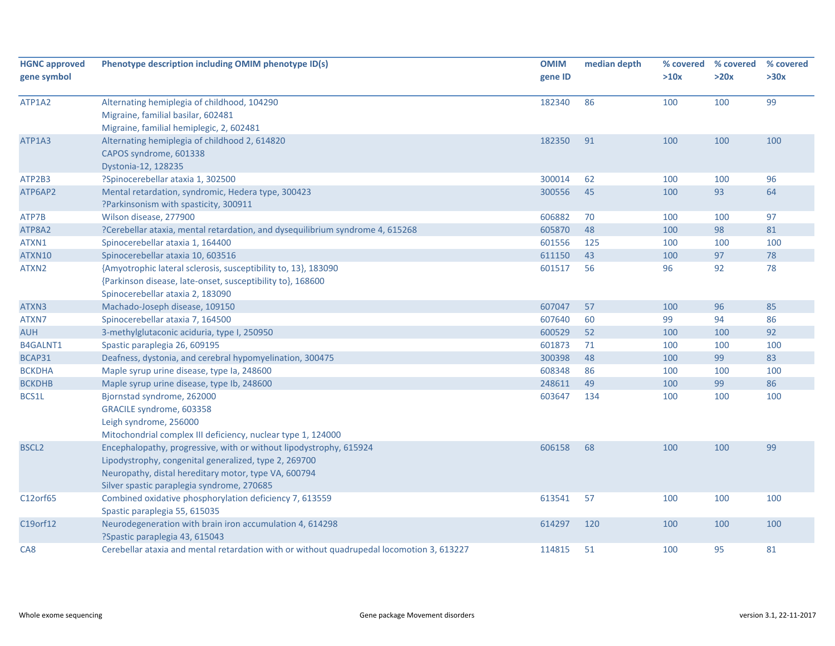| <b>HGNC approved</b><br>gene symbol | Phenotype description including OMIM phenotype ID(s)                                      | <b>OMIM</b><br>gene ID | median depth | % covered<br>>10x | % covered<br>>20x | % covered<br>>30x |
|-------------------------------------|-------------------------------------------------------------------------------------------|------------------------|--------------|-------------------|-------------------|-------------------|
|                                     |                                                                                           |                        |              |                   |                   |                   |
| ATP1A2                              | Alternating hemiplegia of childhood, 104290                                               | 182340                 | 86           | 100               | 100               | 99                |
|                                     | Migraine, familial basilar, 602481                                                        |                        |              |                   |                   |                   |
|                                     | Migraine, familial hemiplegic, 2, 602481                                                  |                        |              |                   |                   |                   |
| ATP1A3                              | Alternating hemiplegia of childhood 2, 614820                                             | 182350                 | 91           | 100               | 100               | 100               |
|                                     | CAPOS syndrome, 601338                                                                    |                        |              |                   |                   |                   |
|                                     | Dystonia-12, 128235                                                                       |                        |              |                   |                   |                   |
| ATP2B3                              | ?Spinocerebellar ataxia 1, 302500                                                         | 300014                 | 62           | 100               | 100               | 96                |
| ATP6AP2                             | Mental retardation, syndromic, Hedera type, 300423                                        | 300556                 | 45           | 100               | 93                | 64                |
|                                     | ?Parkinsonism with spasticity, 300911                                                     |                        |              |                   |                   |                   |
| ATP7B                               | Wilson disease, 277900                                                                    | 606882                 | 70           | 100               | 100               | 97                |
| ATP8A2                              | ?Cerebellar ataxia, mental retardation, and dysequilibrium syndrome 4, 615268             | 605870                 | 48           | 100               | 98                | 81                |
| ATXN1                               | Spinocerebellar ataxia 1, 164400                                                          | 601556                 | 125          | 100               | 100               | 100               |
| ATXN10                              | Spinocerebellar ataxia 10, 603516                                                         | 611150                 | 43           | 100               | 97                | 78                |
| ATXN2                               | {Amyotrophic lateral sclerosis, susceptibility to, 13}, 183090                            | 601517                 | 56           | 96                | 92                | 78                |
|                                     | {Parkinson disease, late-onset, susceptibility to}, 168600                                |                        |              |                   |                   |                   |
|                                     | Spinocerebellar ataxia 2, 183090                                                          |                        |              |                   |                   |                   |
| ATXN3                               | Machado-Joseph disease, 109150                                                            | 607047                 | 57           | 100               | 96                | 85                |
| ATXN7                               | Spinocerebellar ataxia 7, 164500                                                          | 607640                 | 60           | 99                | 94                | 86                |
| <b>AUH</b>                          | 3-methylglutaconic aciduria, type I, 250950                                               | 600529                 | 52           | 100               | 100               | 92                |
| <b>B4GALNT1</b>                     | Spastic paraplegia 26, 609195                                                             | 601873                 | 71           | 100               | 100               | 100               |
| BCAP31                              | Deafness, dystonia, and cerebral hypomyelination, 300475                                  | 300398                 | 48           | 100               | 99                | 83                |
| <b>BCKDHA</b>                       | Maple syrup urine disease, type Ia, 248600                                                | 608348                 | 86           | 100               | 100               | 100               |
| <b>BCKDHB</b>                       | Maple syrup urine disease, type lb, 248600                                                | 248611                 | 49           | 100               | 99                | 86                |
| BCS1L                               | Bjornstad syndrome, 262000                                                                | 603647                 | 134          | 100               | 100               | 100               |
|                                     | GRACILE syndrome, 603358                                                                  |                        |              |                   |                   |                   |
|                                     | Leigh syndrome, 256000                                                                    |                        |              |                   |                   |                   |
|                                     | Mitochondrial complex III deficiency, nuclear type 1, 124000                              |                        |              |                   |                   |                   |
| <b>BSCL2</b>                        | Encephalopathy, progressive, with or without lipodystrophy, 615924                        | 606158                 | 68           | 100               | 100               | 99                |
|                                     | Lipodystrophy, congenital generalized, type 2, 269700                                     |                        |              |                   |                   |                   |
|                                     | Neuropathy, distal hereditary motor, type VA, 600794                                      |                        |              |                   |                   |                   |
|                                     | Silver spastic paraplegia syndrome, 270685                                                |                        |              |                   |                   |                   |
| C12orf65                            | Combined oxidative phosphorylation deficiency 7, 613559                                   | 613541                 | 57           | 100               | 100               | 100               |
|                                     | Spastic paraplegia 55, 615035                                                             |                        |              |                   |                   |                   |
| C19orf12                            | Neurodegeneration with brain iron accumulation 4, 614298                                  | 614297                 | 120          | 100               | 100               | 100               |
|                                     | ?Spastic paraplegia 43, 615043                                                            |                        |              |                   |                   |                   |
| CA8                                 | Cerebellar ataxia and mental retardation with or without quadrupedal locomotion 3, 613227 | 114815                 | 51           | 100               | 95                | 81                |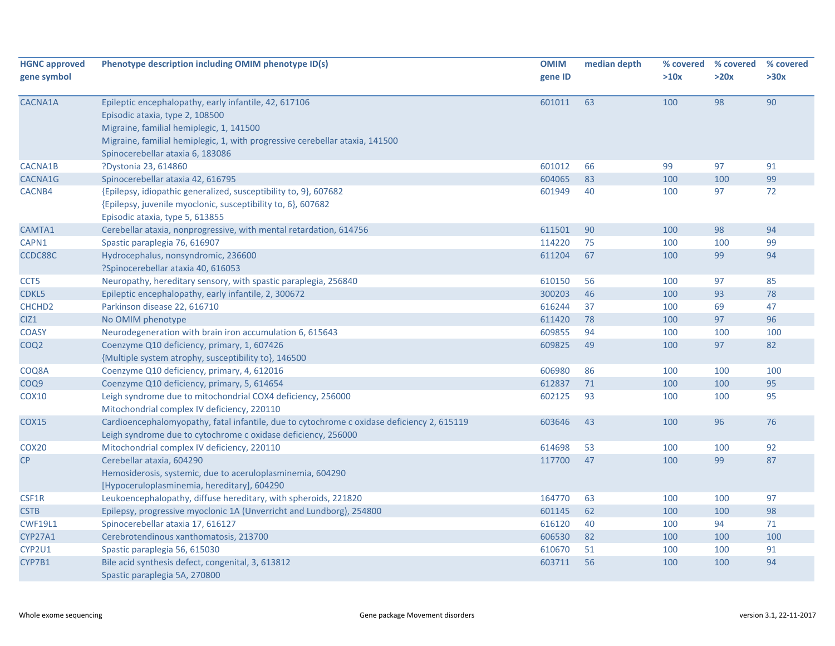| <b>HGNC approved</b><br>gene symbol | Phenotype description including OMIM phenotype ID(s)                                                                                                                                                                                                     | <b>OMIM</b><br>gene ID | median depth | % covered<br>>10x | % covered<br>>20x | % covered<br>>30x |
|-------------------------------------|----------------------------------------------------------------------------------------------------------------------------------------------------------------------------------------------------------------------------------------------------------|------------------------|--------------|-------------------|-------------------|-------------------|
| CACNA1A                             | Epileptic encephalopathy, early infantile, 42, 617106<br>Episodic ataxia, type 2, 108500<br>Migraine, familial hemiplegic, 1, 141500<br>Migraine, familial hemiplegic, 1, with progressive cerebellar ataxia, 141500<br>Spinocerebellar ataxia 6, 183086 | 601011                 | 63           | 100               | 98                | 90                |
| CACNA1B                             | ?Dystonia 23, 614860                                                                                                                                                                                                                                     | 601012                 | 66           | 99                | 97                | 91                |
| CACNA1G                             | Spinocerebellar ataxia 42, 616795                                                                                                                                                                                                                        | 604065                 | 83           | 100               | 100               | 99                |
| CACNB4                              | {Epilepsy, idiopathic generalized, susceptibility to, 9}, 607682<br>{Epilepsy, juvenile myoclonic, susceptibility to, 6}, 607682<br>Episodic ataxia, type 5, 613855                                                                                      | 601949                 | 40           | 100               | 97                | 72                |
| CAMTA1                              | Cerebellar ataxia, nonprogressive, with mental retardation, 614756                                                                                                                                                                                       | 611501                 | 90           | 100               | 98                | 94                |
| CAPN1                               | Spastic paraplegia 76, 616907                                                                                                                                                                                                                            | 114220                 | 75           | 100               | 100               | 99                |
| CCDC88C                             | Hydrocephalus, nonsyndromic, 236600<br>?Spinocerebellar ataxia 40, 616053                                                                                                                                                                                | 611204                 | 67           | 100               | 99                | 94                |
| CCT <sub>5</sub>                    | Neuropathy, hereditary sensory, with spastic paraplegia, 256840                                                                                                                                                                                          | 610150                 | 56           | 100               | 97                | 85                |
| CDKL5                               | Epileptic encephalopathy, early infantile, 2, 300672                                                                                                                                                                                                     | 300203                 | 46           | 100               | 93                | 78                |
| CHCHD <sub>2</sub>                  | Parkinson disease 22, 616710                                                                                                                                                                                                                             | 616244                 | 37           | 100               | 69                | 47                |
| CIZ <sub>1</sub>                    | No OMIM phenotype                                                                                                                                                                                                                                        | 611420                 | 78           | 100               | 97                | 96                |
| <b>COASY</b>                        | Neurodegeneration with brain iron accumulation 6, 615643                                                                                                                                                                                                 | 609855                 | 94           | 100               | 100               | 100               |
| COQ <sub>2</sub>                    | Coenzyme Q10 deficiency, primary, 1, 607426<br>{Multiple system atrophy, susceptibility to}, 146500                                                                                                                                                      | 609825                 | 49           | 100               | 97                | 82                |
| COQ8A                               | Coenzyme Q10 deficiency, primary, 4, 612016                                                                                                                                                                                                              | 606980                 | 86           | 100               | 100               | 100               |
| COQ9                                | Coenzyme Q10 deficiency, primary, 5, 614654                                                                                                                                                                                                              | 612837                 | 71           | 100               | 100               | 95                |
| <b>COX10</b>                        | Leigh syndrome due to mitochondrial COX4 deficiency, 256000<br>Mitochondrial complex IV deficiency, 220110                                                                                                                                               | 602125                 | 93           | 100               | 100               | 95                |
| <b>COX15</b>                        | Cardioencephalomyopathy, fatal infantile, due to cytochrome c oxidase deficiency 2, 615119<br>Leigh syndrome due to cytochrome c oxidase deficiency, 256000                                                                                              | 603646                 | 43           | 100               | 96                | 76                |
| COX <sub>20</sub>                   | Mitochondrial complex IV deficiency, 220110                                                                                                                                                                                                              | 614698                 | 53           | 100               | 100               | 92                |
| CP                                  | Cerebellar ataxia, 604290<br>Hemosiderosis, systemic, due to aceruloplasminemia, 604290<br>[Hypoceruloplasminemia, hereditary], 604290                                                                                                                   | 117700                 | 47           | 100               | 99                | 87                |
| CSF1R                               | Leukoencephalopathy, diffuse hereditary, with spheroids, 221820                                                                                                                                                                                          | 164770                 | 63           | 100               | 100               | 97                |
| <b>CSTB</b>                         | Epilepsy, progressive myoclonic 1A (Unverricht and Lundborg), 254800                                                                                                                                                                                     | 601145                 | 62           | 100               | 100               | 98                |
| <b>CWF19L1</b>                      | Spinocerebellar ataxia 17, 616127                                                                                                                                                                                                                        | 616120                 | 40           | 100               | 94                | 71                |
| <b>CYP27A1</b>                      | Cerebrotendinous xanthomatosis, 213700                                                                                                                                                                                                                   | 606530                 | 82           | 100               | 100               | 100               |
| CYP2U1                              | Spastic paraplegia 56, 615030                                                                                                                                                                                                                            | 610670                 | 51           | 100               | 100               | 91                |
| CYP7B1                              | Bile acid synthesis defect, congenital, 3, 613812<br>Spastic paraplegia 5A, 270800                                                                                                                                                                       | 603711                 | 56           | 100               | 100               | 94                |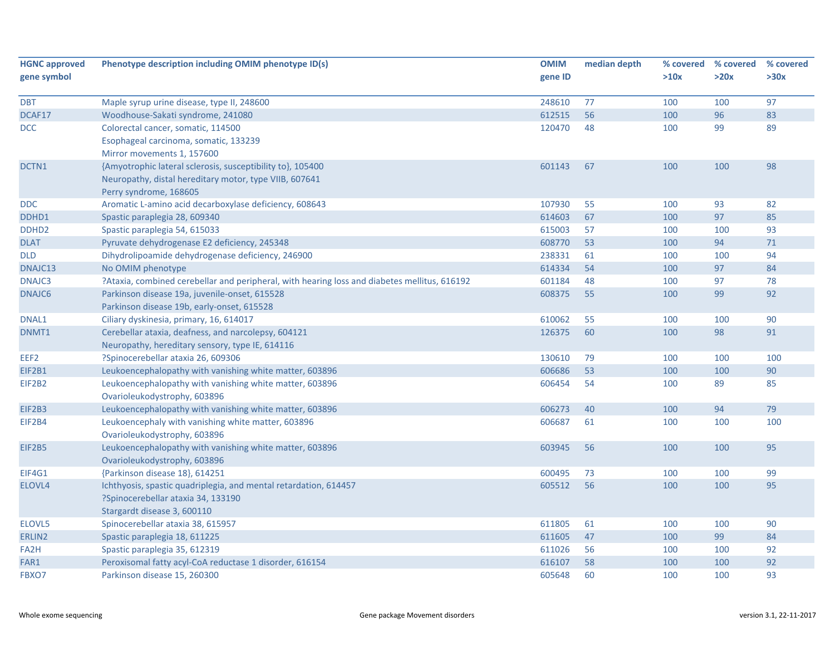| <b>HGNC approved</b> | Phenotype description including OMIM phenotype ID(s)                                         | <b>OMIM</b> | median depth | % covered | % covered | % covered |
|----------------------|----------------------------------------------------------------------------------------------|-------------|--------------|-----------|-----------|-----------|
| gene symbol          |                                                                                              | gene ID     |              | >10x      | >20x      | >30x      |
| <b>DBT</b>           | Maple syrup urine disease, type II, 248600                                                   | 248610      | 77           | 100       | 100       | 97        |
| DCAF17               | Woodhouse-Sakati syndrome, 241080                                                            | 612515      | 56           | 100       | 96        | 83        |
| DCC                  | Colorectal cancer, somatic, 114500                                                           | 120470      | 48           | 100       | 99        | 89        |
|                      | Esophageal carcinoma, somatic, 133239                                                        |             |              |           |           |           |
|                      | Mirror movements 1, 157600                                                                   |             |              |           |           |           |
| DCTN1                | {Amyotrophic lateral sclerosis, susceptibility to}, 105400                                   | 601143      | 67           | 100       | 100       | 98        |
|                      | Neuropathy, distal hereditary motor, type VIIB, 607641                                       |             |              |           |           |           |
|                      | Perry syndrome, 168605                                                                       |             |              |           |           |           |
| <b>DDC</b>           | Aromatic L-amino acid decarboxylase deficiency, 608643                                       | 107930      | 55           | 100       | 93        | 82        |
| DDHD1                | Spastic paraplegia 28, 609340                                                                | 614603      | 67           | 100       | 97        | 85        |
| DDHD <sub>2</sub>    | Spastic paraplegia 54, 615033                                                                | 615003      | 57           | 100       | 100       | 93        |
| <b>DLAT</b>          | Pyruvate dehydrogenase E2 deficiency, 245348                                                 | 608770      | 53           | 100       | 94        | 71        |
| <b>DLD</b>           | Dihydrolipoamide dehydrogenase deficiency, 246900                                            | 238331      | 61           | 100       | 100       | 94        |
| DNAJC13              | No OMIM phenotype                                                                            | 614334      | 54           | 100       | 97        | 84        |
| DNAJC3               | ?Ataxia, combined cerebellar and peripheral, with hearing loss and diabetes mellitus, 616192 | 601184      | 48           | 100       | 97        | 78        |
| DNAJC6               | Parkinson disease 19a, juvenile-onset, 615528                                                | 608375      | 55           | 100       | 99        | 92        |
|                      | Parkinson disease 19b, early-onset, 615528                                                   |             |              |           |           |           |
| DNAL1                | Ciliary dyskinesia, primary, 16, 614017                                                      | 610062      | 55           | 100       | 100       | 90        |
| DNMT1                | Cerebellar ataxia, deafness, and narcolepsy, 604121                                          | 126375      | 60           | 100       | 98        | 91        |
|                      | Neuropathy, hereditary sensory, type IE, 614116                                              |             |              |           |           |           |
| EEF2                 | ?Spinocerebellar ataxia 26, 609306                                                           | 130610      | 79           | 100       | 100       | 100       |
| EIF2B1               | Leukoencephalopathy with vanishing white matter, 603896                                      | 606686      | 53           | 100       | 100       | 90        |
| EIF2B2               | Leukoencephalopathy with vanishing white matter, 603896                                      | 606454      | 54           | 100       | 89        | 85        |
|                      | Ovarioleukodystrophy, 603896                                                                 |             |              |           |           |           |
| EIF2B3               | Leukoencephalopathy with vanishing white matter, 603896                                      | 606273      | 40           | 100       | 94        | 79        |
| EIF2B4               | Leukoencephaly with vanishing white matter, 603896                                           | 606687      | 61           | 100       | 100       | 100       |
|                      | Ovarioleukodystrophy, 603896                                                                 |             |              |           |           |           |
| EIF2B5               | Leukoencephalopathy with vanishing white matter, 603896                                      | 603945      | 56           | 100       | 100       | 95        |
|                      | Ovarioleukodystrophy, 603896                                                                 |             |              |           |           |           |
| EIF4G1               | {Parkinson disease 18}, 614251                                                               | 600495      | 73           | 100       | 100       | 99        |
| ELOVL4               | Ichthyosis, spastic quadriplegia, and mental retardation, 614457                             | 605512      | 56           | 100       | 100       | 95        |
|                      | ?Spinocerebellar ataxia 34, 133190                                                           |             |              |           |           |           |
|                      | Stargardt disease 3, 600110                                                                  |             |              |           |           |           |
| ELOVL5               | Spinocerebellar ataxia 38, 615957                                                            | 611805      | 61           | 100       | 100       | 90        |
| ERLIN2               | Spastic paraplegia 18, 611225                                                                | 611605      | 47           | 100       | 99        | 84        |
| FA <sub>2</sub> H    | Spastic paraplegia 35, 612319                                                                | 611026      | 56           | 100       | 100       | 92        |
| FAR1                 | Peroxisomal fatty acyl-CoA reductase 1 disorder, 616154                                      | 616107      | 58           | 100       | 100       | 92        |
| FBXO7                | Parkinson disease 15, 260300                                                                 | 605648      | 60           | 100       | 100       | 93        |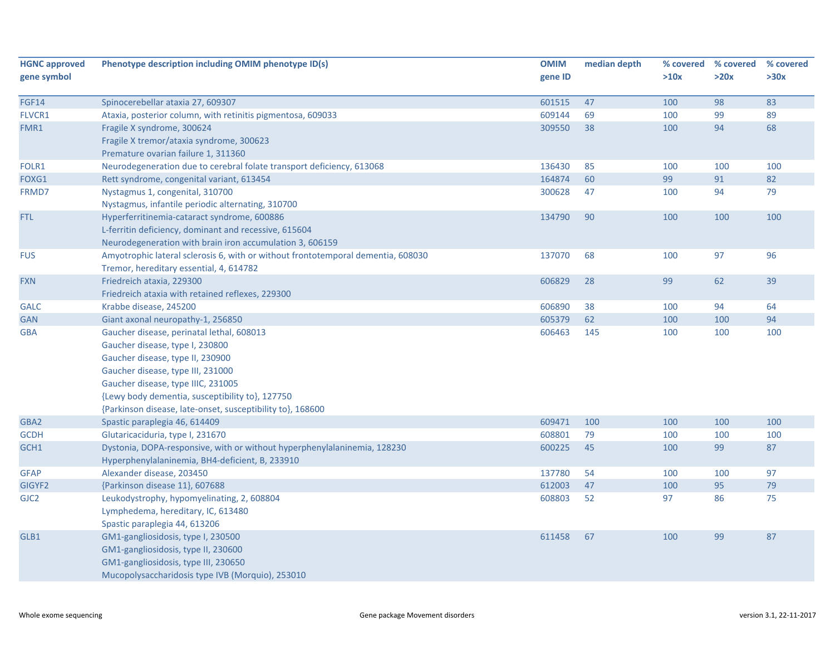| <b>HGNC approved</b> | Phenotype description including OMIM phenotype ID(s)                             | <b>OMIM</b> | median depth | % covered | % covered | % covered |
|----------------------|----------------------------------------------------------------------------------|-------------|--------------|-----------|-----------|-----------|
| gene symbol          |                                                                                  | gene ID     |              | >10x      | >20x      | >30x      |
| <b>FGF14</b>         | Spinocerebellar ataxia 27, 609307                                                | 601515      | 47           | 100       | 98        | 83        |
| FLVCR1               | Ataxia, posterior column, with retinitis pigmentosa, 609033                      | 609144      | 69           | 100       | 99        | 89        |
| FMR1                 | Fragile X syndrome, 300624                                                       | 309550      | 38           | 100       | 94        | 68        |
|                      | Fragile X tremor/ataxia syndrome, 300623                                         |             |              |           |           |           |
|                      | Premature ovarian failure 1, 311360                                              |             |              |           |           |           |
| FOLR1                | Neurodegeneration due to cerebral folate transport deficiency, 613068            | 136430      | 85           | 100       | 100       | 100       |
| FOXG1                | Rett syndrome, congenital variant, 613454                                        | 164874      | 60           | 99        | 91        | 82        |
| FRMD7                | Nystagmus 1, congenital, 310700                                                  | 300628      | 47           | 100       | 94        | 79        |
|                      | Nystagmus, infantile periodic alternating, 310700                                |             |              |           |           |           |
| <b>FTL</b>           | Hyperferritinemia-cataract syndrome, 600886                                      | 134790      | 90           | 100       | 100       | 100       |
|                      | L-ferritin deficiency, dominant and recessive, 615604                            |             |              |           |           |           |
|                      | Neurodegeneration with brain iron accumulation 3, 606159                         |             |              |           |           |           |
| <b>FUS</b>           | Amyotrophic lateral sclerosis 6, with or without frontotemporal dementia, 608030 | 137070      | 68           | 100       | 97        | 96        |
|                      | Tremor, hereditary essential, 4, 614782                                          |             |              |           |           |           |
| <b>FXN</b>           | Friedreich ataxia, 229300                                                        | 606829      | 28           | 99        | 62        | 39        |
|                      | Friedreich ataxia with retained reflexes, 229300                                 |             |              |           |           |           |
| <b>GALC</b>          | Krabbe disease, 245200                                                           | 606890      | 38           | 100       | 94        | 64        |
| <b>GAN</b>           | Giant axonal neuropathy-1, 256850                                                | 605379      | 62           | 100       | 100       | 94        |
| <b>GBA</b>           | Gaucher disease, perinatal lethal, 608013                                        | 606463      | 145          | 100       | 100       | 100       |
|                      | Gaucher disease, type I, 230800                                                  |             |              |           |           |           |
|                      | Gaucher disease, type II, 230900                                                 |             |              |           |           |           |
|                      | Gaucher disease, type III, 231000                                                |             |              |           |           |           |
|                      | Gaucher disease, type IIIC, 231005                                               |             |              |           |           |           |
|                      | {Lewy body dementia, susceptibility to}, 127750                                  |             |              |           |           |           |
|                      | {Parkinson disease, late-onset, susceptibility to}, 168600                       |             |              |           |           |           |
| GBA2                 | Spastic paraplegia 46, 614409                                                    | 609471      | 100          | 100       | 100       | 100       |
| <b>GCDH</b>          | Glutaricaciduria, type I, 231670                                                 | 608801      | 79           | 100       | 100       | 100       |
| GCH1                 | Dystonia, DOPA-responsive, with or without hyperphenylalaninemia, 128230         | 600225      | 45           | 100       | 99        | 87        |
|                      | Hyperphenylalaninemia, BH4-deficient, B, 233910                                  |             |              |           |           |           |
| <b>GFAP</b>          | Alexander disease, 203450                                                        | 137780      | 54           | 100       | 100       | 97        |
| GIGYF2               | {Parkinson disease 11}, 607688                                                   | 612003      | 47           | 100       | 95        | 79        |
| GJC <sub>2</sub>     | Leukodystrophy, hypomyelinating, 2, 608804                                       | 608803      | 52           | 97        | 86        | 75        |
|                      | Lymphedema, hereditary, IC, 613480                                               |             |              |           |           |           |
|                      | Spastic paraplegia 44, 613206                                                    |             |              |           |           |           |
| GLB1                 | GM1-gangliosidosis, type I, 230500                                               | 611458      | 67           | 100       | 99        | 87        |
|                      | GM1-gangliosidosis, type II, 230600                                              |             |              |           |           |           |
|                      | GM1-gangliosidosis, type III, 230650                                             |             |              |           |           |           |
|                      | Mucopolysaccharidosis type IVB (Morquio), 253010                                 |             |              |           |           |           |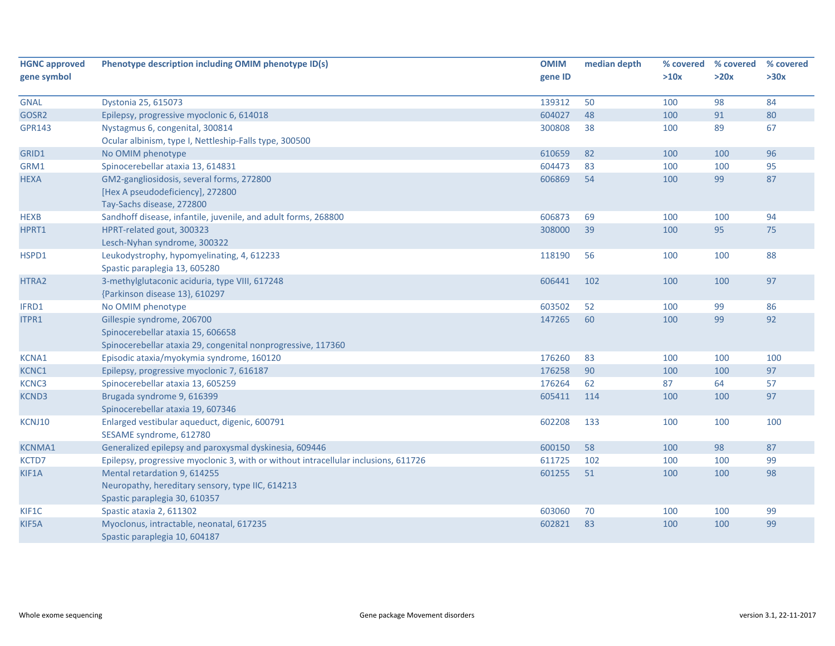| <b>HGNC approved</b> | Phenotype description including OMIM phenotype ID(s)                                | <b>OMIM</b> | median depth | % covered | % covered | % covered |
|----------------------|-------------------------------------------------------------------------------------|-------------|--------------|-----------|-----------|-----------|
| gene symbol          |                                                                                     | gene ID     |              | >10x      | >20x      | >30x      |
| <b>GNAL</b>          | Dystonia 25, 615073                                                                 | 139312      | 50           | 100       | 98        | 84        |
| GOSR2                | Epilepsy, progressive myoclonic 6, 614018                                           | 604027      | 48           | 100       | 91        | 80        |
| <b>GPR143</b>        | Nystagmus 6, congenital, 300814                                                     | 300808      | 38           | 100       | 89        | 67        |
|                      | Ocular albinism, type I, Nettleship-Falls type, 300500                              |             |              |           |           |           |
| GRID1                | No OMIM phenotype                                                                   | 610659      | 82           | 100       | 100       | 96        |
| GRM1                 | Spinocerebellar ataxia 13, 614831                                                   | 604473      | 83           | 100       | 100       | 95        |
| <b>HEXA</b>          | GM2-gangliosidosis, several forms, 272800                                           | 606869      | 54           | 100       | 99        | 87        |
|                      | [Hex A pseudodeficiency], 272800                                                    |             |              |           |           |           |
|                      | Tay-Sachs disease, 272800                                                           |             |              |           |           |           |
| <b>HEXB</b>          | Sandhoff disease, infantile, juvenile, and adult forms, 268800                      | 606873      | 69           | 100       | 100       | 94        |
| HPRT1                | HPRT-related gout, 300323                                                           | 308000      | 39           | 100       | 95        | 75        |
|                      | Lesch-Nyhan syndrome, 300322                                                        |             |              |           |           |           |
| HSPD1                | Leukodystrophy, hypomyelinating, 4, 612233                                          | 118190      | 56           | 100       | 100       | 88        |
|                      | Spastic paraplegia 13, 605280                                                       |             |              |           |           |           |
| HTRA2                | 3-methylglutaconic aciduria, type VIII, 617248                                      | 606441      | 102          | 100       | 100       | 97        |
|                      | {Parkinson disease 13}, 610297                                                      |             |              |           |           |           |
| IFRD1                | No OMIM phenotype                                                                   | 603502      | 52           | 100       | 99        | 86        |
| ITPR1                | Gillespie syndrome, 206700                                                          | 147265      | 60           | 100       | 99        | 92        |
|                      | Spinocerebellar ataxia 15, 606658                                                   |             |              |           |           |           |
|                      | Spinocerebellar ataxia 29, congenital nonprogressive, 117360                        |             |              |           |           |           |
| <b>KCNA1</b>         | Episodic ataxia/myokymia syndrome, 160120                                           | 176260      | 83           | 100       | 100       | 100       |
| KCNC1                | Epilepsy, progressive myoclonic 7, 616187                                           | 176258      | 90           | 100       | 100       | 97        |
| KCNC3                | Spinocerebellar ataxia 13, 605259                                                   | 176264      | 62           | 87        | 64        | 57        |
| <b>KCND3</b>         | Brugada syndrome 9, 616399                                                          | 605411      | 114          | 100       | 100       | 97        |
|                      | Spinocerebellar ataxia 19, 607346                                                   |             |              |           |           |           |
| KCNJ10               | Enlarged vestibular aqueduct, digenic, 600791                                       | 602208      | 133          | 100       | 100       | 100       |
|                      | SESAME syndrome, 612780                                                             |             |              |           |           |           |
| <b>KCNMA1</b>        | Generalized epilepsy and paroxysmal dyskinesia, 609446                              | 600150      | 58           | 100       | 98        | 87        |
| KCTD7                | Epilepsy, progressive myoclonic 3, with or without intracellular inclusions, 611726 | 611725      | 102          | 100       | 100       | 99        |
| KIF1A                | Mental retardation 9, 614255                                                        | 601255      | 51           | 100       | 100       | 98        |
|                      | Neuropathy, hereditary sensory, type IIC, 614213                                    |             |              |           |           |           |
|                      | Spastic paraplegia 30, 610357                                                       |             |              |           |           |           |
| KIF1C                | Spastic ataxia 2, 611302                                                            | 603060      | 70           | 100       | 100       | 99        |
| KIF5A                | Myoclonus, intractable, neonatal, 617235                                            | 602821      | 83           | 100       | 100       | 99        |
|                      | Spastic paraplegia 10, 604187                                                       |             |              |           |           |           |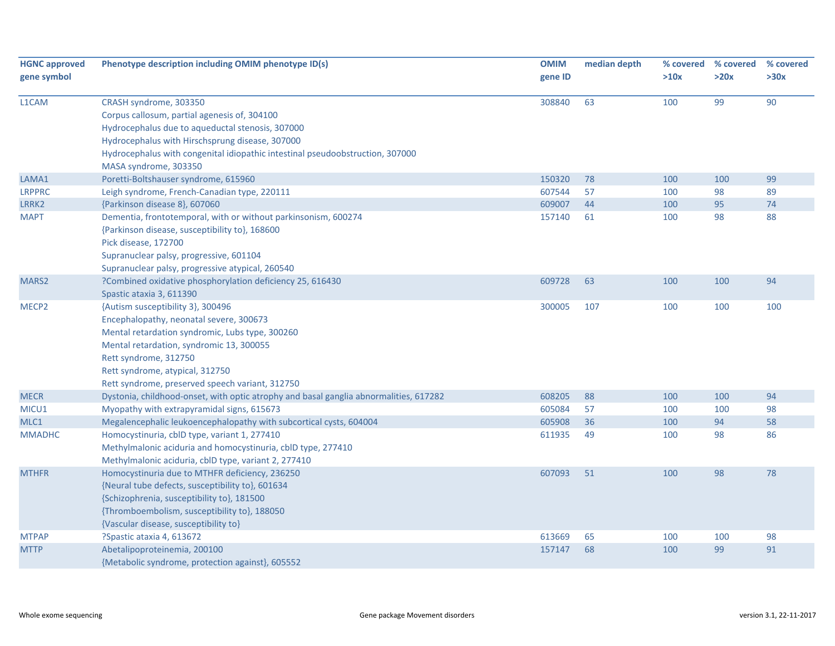| <b>HGNC approved</b><br>gene symbol | Phenotype description including OMIM phenotype ID(s)                                                                                                                                                                                                                                       | <b>OMIM</b><br>gene ID | median depth | >10x | % covered % covered<br>>20x | % covered<br>>30x |
|-------------------------------------|--------------------------------------------------------------------------------------------------------------------------------------------------------------------------------------------------------------------------------------------------------------------------------------------|------------------------|--------------|------|-----------------------------|-------------------|
| L1CAM                               | CRASH syndrome, 303350<br>Corpus callosum, partial agenesis of, 304100<br>Hydrocephalus due to aqueductal stenosis, 307000<br>Hydrocephalus with Hirschsprung disease, 307000<br>Hydrocephalus with congenital idiopathic intestinal pseudoobstruction, 307000<br>MASA syndrome, 303350    | 308840                 | 63           | 100  | 99                          | 90                |
| LAMA1                               | Poretti-Boltshauser syndrome, 615960                                                                                                                                                                                                                                                       | 150320                 | 78           | 100  | 100                         | 99                |
| <b>LRPPRC</b>                       | Leigh syndrome, French-Canadian type, 220111                                                                                                                                                                                                                                               | 607544                 | 57           | 100  | 98                          | 89                |
| LRRK2                               | {Parkinson disease 8}, 607060                                                                                                                                                                                                                                                              | 609007                 | 44           | 100  | 95                          | 74                |
| <b>MAPT</b>                         | Dementia, frontotemporal, with or without parkinsonism, 600274<br>{Parkinson disease, susceptibility to}, 168600<br>Pick disease, 172700<br>Supranuclear palsy, progressive, 601104<br>Supranuclear palsy, progressive atypical, 260540                                                    | 157140                 | 61           | 100  | 98                          | 88                |
| MARS2                               | ?Combined oxidative phosphorylation deficiency 25, 616430<br>Spastic ataxia 3, 611390                                                                                                                                                                                                      | 609728                 | 63           | 100  | 100                         | 94                |
| MECP <sub>2</sub>                   | {Autism susceptibility 3}, 300496<br>Encephalopathy, neonatal severe, 300673<br>Mental retardation syndromic, Lubs type, 300260<br>Mental retardation, syndromic 13, 300055<br>Rett syndrome, 312750<br>Rett syndrome, atypical, 312750<br>Rett syndrome, preserved speech variant, 312750 | 300005                 | 107          | 100  | 100                         | 100               |
| <b>MECR</b>                         | Dystonia, childhood-onset, with optic atrophy and basal ganglia abnormalities, 617282                                                                                                                                                                                                      | 608205                 | 88           | 100  | 100                         | 94                |
| MICU1                               | Myopathy with extrapyramidal signs, 615673                                                                                                                                                                                                                                                 | 605084                 | 57           | 100  | 100                         | 98                |
| MLC1                                | Megalencephalic leukoencephalopathy with subcortical cysts, 604004                                                                                                                                                                                                                         | 605908                 | 36           | 100  | 94                          | 58                |
| <b>MMADHC</b>                       | Homocystinuria, cblD type, variant 1, 277410<br>Methylmalonic aciduria and homocystinuria, cblD type, 277410<br>Methylmalonic aciduria, cblD type, variant 2, 277410                                                                                                                       | 611935                 | 49           | 100  | 98                          | 86                |
| <b>MTHFR</b>                        | Homocystinuria due to MTHFR deficiency, 236250<br>{Neural tube defects, susceptibility to}, 601634<br>{Schizophrenia, susceptibility to}, 181500<br>{Thromboembolism, susceptibility to}, 188050<br>{Vascular disease, susceptibility to}                                                  | 607093                 | 51           | 100  | 98                          | 78                |
| <b>MTPAP</b>                        | ?Spastic ataxia 4, 613672                                                                                                                                                                                                                                                                  | 613669                 | 65           | 100  | 100                         | 98                |
| <b>MTTP</b>                         | Abetalipoproteinemia, 200100<br>{Metabolic syndrome, protection against}, 605552                                                                                                                                                                                                           | 157147                 | 68           | 100  | 99                          | 91                |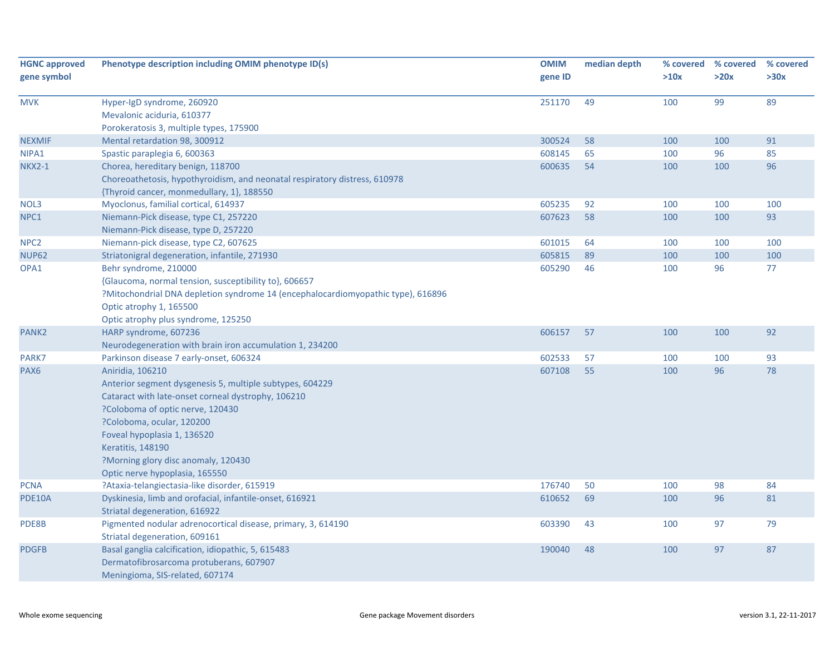| <b>HGNC approved</b><br>gene symbol | Phenotype description including OMIM phenotype ID(s)                                                                                                                                                                                                                                                                             | <b>OMIM</b><br>gene ID | median depth | >10x | % covered % covered<br>>20x | % covered<br>>30x |
|-------------------------------------|----------------------------------------------------------------------------------------------------------------------------------------------------------------------------------------------------------------------------------------------------------------------------------------------------------------------------------|------------------------|--------------|------|-----------------------------|-------------------|
| <b>MVK</b>                          | Hyper-IgD syndrome, 260920<br>Mevalonic aciduria, 610377<br>Porokeratosis 3, multiple types, 175900                                                                                                                                                                                                                              | 251170                 | 49           | 100  | 99                          | 89                |
| <b>NEXMIF</b>                       | Mental retardation 98, 300912                                                                                                                                                                                                                                                                                                    | 300524                 | 58           | 100  | 100                         | 91                |
| NIPA1                               | Spastic paraplegia 6, 600363                                                                                                                                                                                                                                                                                                     | 608145                 | 65           | 100  | 96                          | 85                |
| <b>NKX2-1</b>                       | Chorea, hereditary benign, 118700                                                                                                                                                                                                                                                                                                | 600635                 | 54           | 100  | 100                         | 96                |
|                                     | Choreoathetosis, hypothyroidism, and neonatal respiratory distress, 610978<br>{Thyroid cancer, monmedullary, 1}, 188550                                                                                                                                                                                                          |                        |              |      |                             |                   |
| NOL3                                | Myoclonus, familial cortical, 614937                                                                                                                                                                                                                                                                                             | 605235                 | 92           | 100  | 100                         | 100               |
| NPC1                                | Niemann-Pick disease, type C1, 257220                                                                                                                                                                                                                                                                                            | 607623                 | 58           | 100  | 100                         | 93                |
|                                     | Niemann-Pick disease, type D, 257220                                                                                                                                                                                                                                                                                             |                        |              |      |                             |                   |
| NPC <sub>2</sub>                    | Niemann-pick disease, type C2, 607625                                                                                                                                                                                                                                                                                            | 601015                 | 64           | 100  | 100                         | 100               |
| <b>NUP62</b>                        | Striatonigral degeneration, infantile, 271930                                                                                                                                                                                                                                                                                    | 605815                 | 89           | 100  | 100                         | 100               |
| OPA1                                | Behr syndrome, 210000<br>{Glaucoma, normal tension, susceptibility to}, 606657<br>?Mitochondrial DNA depletion syndrome 14 (encephalocardiomyopathic type), 616896<br>Optic atrophy 1, 165500<br>Optic atrophy plus syndrome, 125250                                                                                             | 605290                 | 46           | 100  | 96                          | 77                |
| PANK <sub>2</sub>                   | HARP syndrome, 607236                                                                                                                                                                                                                                                                                                            | 606157                 | 57           | 100  | 100                         | 92                |
|                                     | Neurodegeneration with brain iron accumulation 1, 234200                                                                                                                                                                                                                                                                         |                        |              |      |                             |                   |
| PARK7                               | Parkinson disease 7 early-onset, 606324                                                                                                                                                                                                                                                                                          | 602533                 | 57           | 100  | 100                         | 93                |
| PAX <sub>6</sub>                    | Aniridia, 106210<br>Anterior segment dysgenesis 5, multiple subtypes, 604229<br>Cataract with late-onset corneal dystrophy, 106210<br>?Coloboma of optic nerve, 120430<br>?Coloboma, ocular, 120200<br>Foveal hypoplasia 1, 136520<br>Keratitis, 148190<br>?Morning glory disc anomaly, 120430<br>Optic nerve hypoplasia, 165550 | 607108                 | 55           | 100  | 96                          | 78                |
| <b>PCNA</b>                         | ?Ataxia-telangiectasia-like disorder, 615919                                                                                                                                                                                                                                                                                     | 176740                 | 50           | 100  | 98                          | 84                |
| <b>PDE10A</b>                       | Dyskinesia, limb and orofacial, infantile-onset, 616921<br>Striatal degeneration, 616922                                                                                                                                                                                                                                         | 610652                 | 69           | 100  | 96                          | 81                |
| PDE8B                               | Pigmented nodular adrenocortical disease, primary, 3, 614190<br>Striatal degeneration, 609161                                                                                                                                                                                                                                    | 603390                 | 43           | 100  | 97                          | 79                |
| <b>PDGFB</b>                        | Basal ganglia calcification, idiopathic, 5, 615483<br>Dermatofibrosarcoma protuberans, 607907<br>Meningioma, SIS-related, 607174                                                                                                                                                                                                 | 190040                 | 48           | 100  | 97                          | 87                |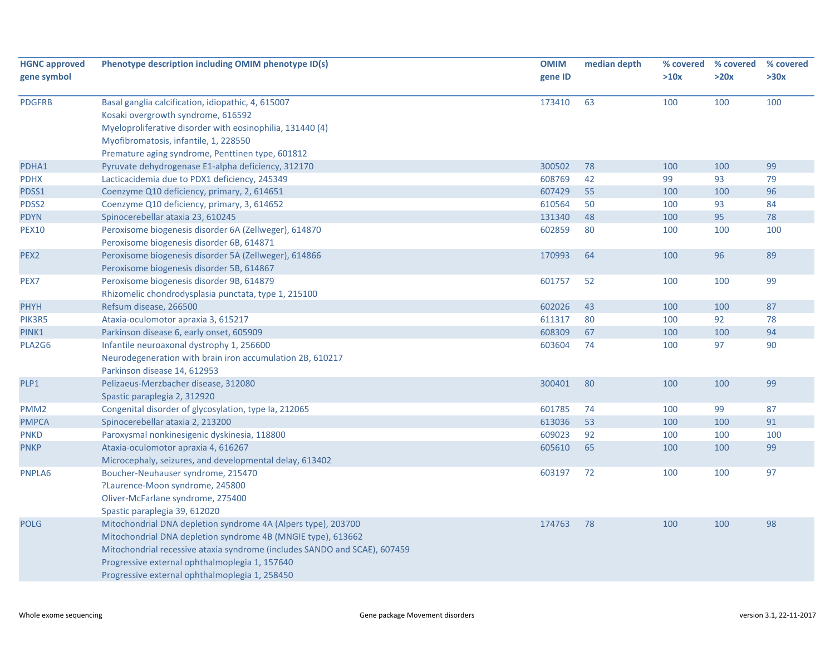| Phenotype description including OMIM phenotype ID(s)                      | <b>OMIM</b>                                               | median depth |      | % covered | % covered |
|---------------------------------------------------------------------------|-----------------------------------------------------------|--------------|------|-----------|-----------|
|                                                                           | gene ID                                                   |              | >10x | >20x      | >30x      |
|                                                                           |                                                           |              |      |           |           |
| Basal ganglia calcification, idiopathic, 4, 615007                        | 173410                                                    | 63           | 100  | 100       | 100       |
| Kosaki overgrowth syndrome, 616592                                        |                                                           |              |      |           |           |
|                                                                           |                                                           |              |      |           |           |
| Myofibromatosis, infantile, 1, 228550                                     |                                                           |              |      |           |           |
| Premature aging syndrome, Penttinen type, 601812                          |                                                           |              |      |           |           |
| Pyruvate dehydrogenase E1-alpha deficiency, 312170                        | 300502                                                    | 78           | 100  | 100       | 99        |
| Lacticacidemia due to PDX1 deficiency, 245349                             |                                                           |              | 99   | 93        | 79        |
| Coenzyme Q10 deficiency, primary, 2, 614651                               | 607429                                                    | 55           | 100  | 100       | 96        |
| Coenzyme Q10 deficiency, primary, 3, 614652                               | 610564                                                    | 50           | 100  | 93        | 84        |
| Spinocerebellar ataxia 23, 610245                                         | 131340                                                    | 48           | 100  | 95        | 78        |
| Peroxisome biogenesis disorder 6A (Zellweger), 614870                     | 602859                                                    | 80           | 100  | 100       | 100       |
| Peroxisome biogenesis disorder 6B, 614871                                 |                                                           |              |      |           |           |
| Peroxisome biogenesis disorder 5A (Zellweger), 614866                     | 170993                                                    | 64           | 100  | 96        | 89        |
| Peroxisome biogenesis disorder 5B, 614867                                 |                                                           |              |      |           |           |
| Peroxisome biogenesis disorder 9B, 614879                                 | 601757                                                    | 52           | 100  | 100       | 99        |
| Rhizomelic chondrodysplasia punctata, type 1, 215100                      |                                                           |              |      |           |           |
| Refsum disease, 266500                                                    | 602026                                                    | 43           | 100  | 100       | 87        |
| Ataxia-oculomotor apraxia 3, 615217                                       | 611317                                                    | 80           | 100  | 92        | 78        |
| Parkinson disease 6, early onset, 605909                                  | 608309                                                    | 67           | 100  | 100       | 94        |
| Infantile neuroaxonal dystrophy 1, 256600                                 | 603604                                                    | 74           | 100  | 97        | 90        |
| Neurodegeneration with brain iron accumulation 2B, 610217                 |                                                           |              |      |           |           |
| Parkinson disease 14, 612953                                              |                                                           |              |      |           |           |
| Pelizaeus-Merzbacher disease, 312080                                      | 300401                                                    | 80           | 100  | 100       | 99        |
| Spastic paraplegia 2, 312920                                              |                                                           |              |      |           |           |
| Congenital disorder of glycosylation, type Ia, 212065                     | 601785                                                    | 74           | 100  | 99        | 87        |
| Spinocerebellar ataxia 2, 213200                                          | 613036                                                    | 53           | 100  | 100       | 91        |
| Paroxysmal nonkinesigenic dyskinesia, 118800                              | 609023                                                    | 92           | 100  | 100       | 100       |
| Ataxia-oculomotor apraxia 4, 616267                                       | 605610                                                    | 65           | 100  | 100       | 99        |
| Microcephaly, seizures, and developmental delay, 613402                   |                                                           |              |      |           |           |
| Boucher-Neuhauser syndrome, 215470                                        | 603197                                                    | 72           | 100  | 100       | 97        |
| ?Laurence-Moon syndrome, 245800                                           |                                                           |              |      |           |           |
| Oliver-McFarlane syndrome, 275400                                         |                                                           |              |      |           |           |
| Spastic paraplegia 39, 612020                                             |                                                           |              |      |           |           |
| Mitochondrial DNA depletion syndrome 4A (Alpers type), 203700             | 174763                                                    | 78           | 100  | 100       | 98        |
| Mitochondrial DNA depletion syndrome 4B (MNGIE type), 613662              |                                                           |              |      |           |           |
| Mitochondrial recessive ataxia syndrome (includes SANDO and SCAE), 607459 |                                                           |              |      |           |           |
| Progressive external ophthalmoplegia 1, 157640                            |                                                           |              |      |           |           |
| Progressive external ophthalmoplegia 1, 258450                            |                                                           |              |      |           |           |
|                                                                           | Myeloproliferative disorder with eosinophilia, 131440 (4) | 608769       | 42   |           | % covered |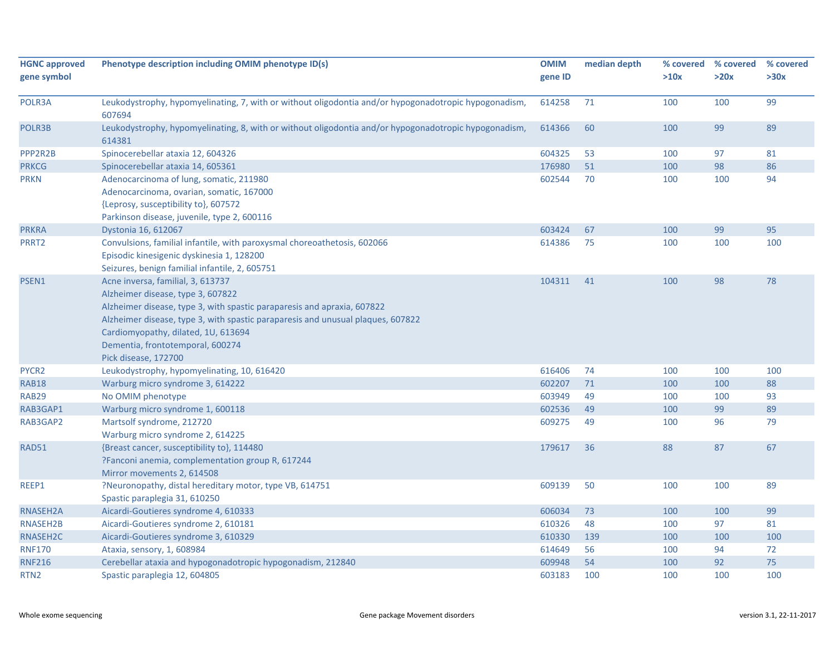| <b>HGNC approved</b>           | Phenotype description including OMIM phenotype ID(s)                                                            | <b>OMIM</b>      | median depth | % covered  | % covered | % covered |
|--------------------------------|-----------------------------------------------------------------------------------------------------------------|------------------|--------------|------------|-----------|-----------|
| gene symbol                    |                                                                                                                 | gene ID          |              | >10x       | >20x      | >30x      |
|                                |                                                                                                                 |                  |              |            |           |           |
| POLR3A                         | Leukodystrophy, hypomyelinating, 7, with or without oligodontia and/or hypogonadotropic hypogonadism,<br>607694 | 614258           | 71           | 100        | 100       | 99        |
| POLR3B                         | Leukodystrophy, hypomyelinating, 8, with or without oligodontia and/or hypogonadotropic hypogonadism,<br>614381 | 614366           | 60           | 100        | 99        | 89        |
| PPP2R2B                        | Spinocerebellar ataxia 12, 604326                                                                               | 604325           | 53           | 100        | 97        | 81        |
| <b>PRKCG</b>                   | Spinocerebellar ataxia 14, 605361                                                                               | 176980           | 51           | 100        | 98        | 86        |
| <b>PRKN</b>                    | Adenocarcinoma of lung, somatic, 211980                                                                         | 602544           | 70           | 100        | 100       | 94        |
|                                | Adenocarcinoma, ovarian, somatic, 167000                                                                        |                  |              |            |           |           |
|                                | {Leprosy, susceptibility to}, 607572                                                                            |                  |              |            |           |           |
|                                | Parkinson disease, juvenile, type 2, 600116                                                                     |                  |              |            |           |           |
| <b>PRKRA</b>                   | Dystonia 16, 612067                                                                                             | 603424           | 67           | 100        | 99        | 95        |
| PRRT2                          | Convulsions, familial infantile, with paroxysmal choreoathetosis, 602066                                        | 614386           | 75           | 100        | 100       | 100       |
|                                | Episodic kinesigenic dyskinesia 1, 128200                                                                       |                  |              |            |           |           |
|                                | Seizures, benign familial infantile, 2, 605751                                                                  |                  |              |            |           |           |
| PSEN1                          | Acne inversa, familial, 3, 613737                                                                               | 104311           | 41           | 100        | 98        | 78        |
|                                | Alzheimer disease, type 3, 607822                                                                               |                  |              |            |           |           |
|                                | Alzheimer disease, type 3, with spastic paraparesis and apraxia, 607822                                         |                  |              |            |           |           |
|                                | Alzheimer disease, type 3, with spastic paraparesis and unusual plaques, 607822                                 |                  |              |            |           |           |
|                                | Cardiomyopathy, dilated, 1U, 613694                                                                             |                  |              |            |           |           |
|                                | Dementia, frontotemporal, 600274                                                                                |                  |              |            |           |           |
|                                | Pick disease, 172700                                                                                            |                  |              |            |           |           |
| PYCR2                          | Leukodystrophy, hypomyelinating, 10, 616420                                                                     | 616406           | 74           | 100        | 100       | 100       |
| <b>RAB18</b>                   | Warburg micro syndrome 3, 614222                                                                                | 602207           | 71           | 100        | 100       | 88        |
| RAB29                          | No OMIM phenotype                                                                                               | 603949           | 49           | 100        | 100       | 93        |
| RAB3GAP1                       | Warburg micro syndrome 1, 600118                                                                                | 602536           | 49           | 100        | 99        | 89        |
| RAB3GAP2                       | Martsolf syndrome, 212720                                                                                       | 609275           | 49           | 100        | 96        | 79        |
|                                | Warburg micro syndrome 2, 614225                                                                                |                  |              |            |           |           |
| RAD51                          | {Breast cancer, susceptibility to}, 114480                                                                      | 179617           | 36           | 88         | 87        | 67        |
|                                | ?Fanconi anemia, complementation group R, 617244                                                                |                  |              |            |           |           |
|                                | Mirror movements 2, 614508                                                                                      |                  |              |            |           |           |
| REEP1                          | ?Neuronopathy, distal hereditary motor, type VB, 614751                                                         | 609139           | 50           | 100        | 100       | 89        |
|                                | Spastic paraplegia 31, 610250                                                                                   |                  |              |            |           |           |
| RNASEH2A                       | Aicardi-Goutieres syndrome 4, 610333                                                                            | 606034           | 73           | 100        | 100       | 99        |
| RNASEH2B                       | Aicardi-Goutieres syndrome 2, 610181                                                                            | 610326           | 48           | 100        | 97        | 81        |
| RNASEH2C                       | Aicardi-Goutieres syndrome 3, 610329                                                                            | 610330           | 139          | 100        | 100       | 100       |
| <b>RNF170</b><br><b>RNF216</b> | Ataxia, sensory, 1, 608984<br>Cerebellar ataxia and hypogonadotropic hypogonadism, 212840                       | 614649<br>609948 | 56<br>54     | 100<br>100 | 94<br>92  | 72<br>75  |
| RTN <sub>2</sub>               | Spastic paraplegia 12, 604805                                                                                   | 603183           | 100          | 100        | 100       | 100       |
|                                |                                                                                                                 |                  |              |            |           |           |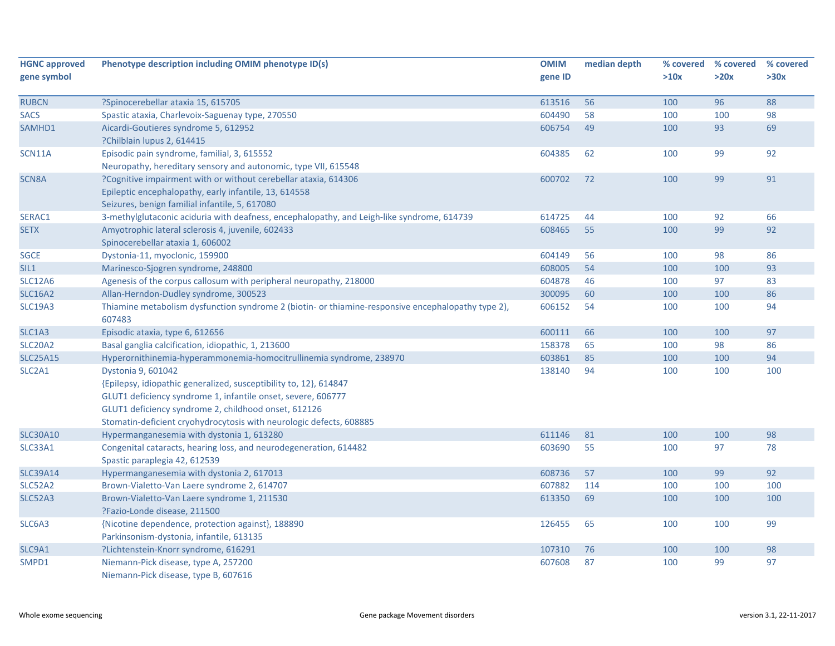| <b>HGNC approved</b> | Phenotype description including OMIM phenotype ID(s)                                               | <b>OMIM</b> | median depth | % covered | % covered | % covered |
|----------------------|----------------------------------------------------------------------------------------------------|-------------|--------------|-----------|-----------|-----------|
| gene symbol          |                                                                                                    | gene ID     |              | >10x      | >20x      | >30x      |
|                      |                                                                                                    |             |              |           |           |           |
| <b>RUBCN</b>         | ?Spinocerebellar ataxia 15, 615705                                                                 | 613516      | 56           | 100       | 96        | 88        |
| <b>SACS</b>          | Spastic ataxia, Charlevoix-Saguenay type, 270550                                                   | 604490      | 58           | 100       | 100       | 98        |
| SAMHD1               | Aicardi-Goutieres syndrome 5, 612952                                                               | 606754      | 49           | 100       | 93        | 69        |
|                      | ?Chilblain lupus 2, 614415                                                                         |             |              |           |           |           |
| <b>SCN11A</b>        | Episodic pain syndrome, familial, 3, 615552                                                        | 604385      | 62           | 100       | 99        | 92        |
|                      | Neuropathy, hereditary sensory and autonomic, type VII, 615548                                     |             |              |           |           |           |
| SCN8A                | ?Cognitive impairment with or without cerebellar ataxia, 614306                                    | 600702      | 72           | 100       | 99        | 91        |
|                      | Epileptic encephalopathy, early infantile, 13, 614558                                              |             |              |           |           |           |
|                      | Seizures, benign familial infantile, 5, 617080                                                     |             |              |           |           |           |
| SERAC1               | 3-methylglutaconic aciduria with deafness, encephalopathy, and Leigh-like syndrome, 614739         | 614725      | 44           | 100       | 92        | 66        |
| <b>SETX</b>          | Amyotrophic lateral sclerosis 4, juvenile, 602433                                                  | 608465      | 55           | 100       | 99        | 92        |
|                      | Spinocerebellar ataxia 1, 606002                                                                   |             |              |           |           |           |
| <b>SGCE</b>          | Dystonia-11, myoclonic, 159900                                                                     | 604149      | 56           | 100       | 98        | 86        |
| SIL1                 | Marinesco-Sjogren syndrome, 248800                                                                 | 608005      | 54           | 100       | 100       | 93        |
| <b>SLC12A6</b>       | Agenesis of the corpus callosum with peripheral neuropathy, 218000                                 | 604878      | 46           | 100       | 97        | 83        |
| <b>SLC16A2</b>       | Allan-Herndon-Dudley syndrome, 300523                                                              | 300095      | 60           | 100       | 100       | 86        |
| <b>SLC19A3</b>       | Thiamine metabolism dysfunction syndrome 2 (biotin- or thiamine-responsive encephalopathy type 2), | 606152      | 54           | 100       | 100       | 94        |
|                      | 607483                                                                                             |             |              |           |           |           |
| SLC1A3               | Episodic ataxia, type 6, 612656                                                                    | 600111      | 66           | 100       | 100       | 97        |
| <b>SLC20A2</b>       | Basal ganglia calcification, idiopathic, 1, 213600                                                 | 158378      | 65           | 100       | 98        | 86        |
| <b>SLC25A15</b>      | Hyperornithinemia-hyperammonemia-homocitrullinemia syndrome, 238970                                | 603861      | 85           | 100       | 100       | 94        |
| SLC2A1               | Dystonia 9, 601042                                                                                 | 138140      | 94           | 100       | 100       | 100       |
|                      | {Epilepsy, idiopathic generalized, susceptibility to, 12}, 614847                                  |             |              |           |           |           |
|                      | GLUT1 deficiency syndrome 1, infantile onset, severe, 606777                                       |             |              |           |           |           |
|                      | GLUT1 deficiency syndrome 2, childhood onset, 612126                                               |             |              |           |           |           |
|                      | Stomatin-deficient cryohydrocytosis with neurologic defects, 608885                                |             |              |           |           |           |
| <b>SLC30A10</b>      | Hypermanganesemia with dystonia 1, 613280                                                          | 611146      | 81           | 100       | 100       | 98        |
| SLC33A1              | Congenital cataracts, hearing loss, and neurodegeneration, 614482                                  | 603690      | 55           | 100       | 97        | 78        |
|                      | Spastic paraplegia 42, 612539                                                                      |             |              |           |           |           |
| <b>SLC39A14</b>      | Hypermanganesemia with dystonia 2, 617013                                                          | 608736      | 57           | 100       | 99        | 92        |
| SLC52A2              | Brown-Vialetto-Van Laere syndrome 2, 614707                                                        | 607882      | 114          | 100       | 100       | 100       |
| <b>SLC52A3</b>       | Brown-Vialetto-Van Laere syndrome 1, 211530                                                        | 613350      | 69           | 100       | 100       | 100       |
|                      | ?Fazio-Londe disease, 211500                                                                       |             |              |           |           |           |
| SLC6A3               | {Nicotine dependence, protection against}, 188890                                                  | 126455      | 65           | 100       | 100       | 99        |
|                      | Parkinsonism-dystonia, infantile, 613135                                                           |             |              |           |           |           |
| SLC9A1               | ?Lichtenstein-Knorr syndrome, 616291                                                               | 107310      | 76           | 100       | 100       | 98        |
| SMPD1                | Niemann-Pick disease, type A, 257200                                                               | 607608      | 87           | 100       | 99        | 97        |
|                      | Niemann-Pick disease, type B, 607616                                                               |             |              |           |           |           |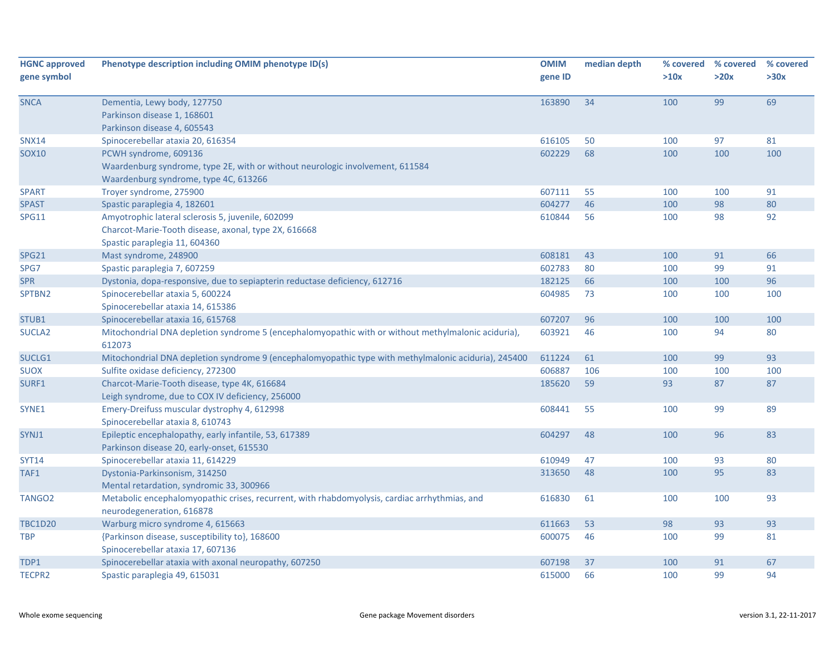| <b>HGNC approved</b><br>gene symbol | Phenotype description including OMIM phenotype ID(s)                                                                       | <b>OMIM</b><br>gene ID | median depth | % covered<br>>10x | % covered<br>>20x | % covered<br>>30x |
|-------------------------------------|----------------------------------------------------------------------------------------------------------------------------|------------------------|--------------|-------------------|-------------------|-------------------|
| <b>SNCA</b>                         | Dementia, Lewy body, 127750                                                                                                | 163890                 | 34           | 100               | 99                | 69                |
|                                     | Parkinson disease 1, 168601                                                                                                |                        |              |                   |                   |                   |
|                                     | Parkinson disease 4, 605543                                                                                                |                        |              |                   |                   |                   |
| <b>SNX14</b>                        | Spinocerebellar ataxia 20, 616354                                                                                          | 616105                 | 50           | 100               | 97                | 81                |
| <b>SOX10</b>                        | PCWH syndrome, 609136                                                                                                      | 602229                 | 68           | 100               | 100               | 100               |
|                                     | Waardenburg syndrome, type 2E, with or without neurologic involvement, 611584                                              |                        |              |                   |                   |                   |
|                                     | Waardenburg syndrome, type 4C, 613266                                                                                      |                        |              |                   |                   |                   |
| <b>SPART</b>                        | Troyer syndrome, 275900                                                                                                    | 607111                 | 55           | 100               | 100               | 91                |
| <b>SPAST</b>                        | Spastic paraplegia 4, 182601                                                                                               | 604277                 | 46           | 100               | 98                | 80                |
| <b>SPG11</b>                        | Amyotrophic lateral sclerosis 5, juvenile, 602099                                                                          | 610844                 | 56           | 100               | 98                | 92                |
|                                     | Charcot-Marie-Tooth disease, axonal, type 2X, 616668                                                                       |                        |              |                   |                   |                   |
|                                     | Spastic paraplegia 11, 604360                                                                                              |                        |              |                   |                   |                   |
| <b>SPG21</b>                        | Mast syndrome, 248900                                                                                                      | 608181                 | 43           | 100               | 91                | 66                |
| SPG7                                | Spastic paraplegia 7, 607259                                                                                               | 602783                 | 80           | 100               | 99                | 91                |
| <b>SPR</b>                          | Dystonia, dopa-responsive, due to sepiapterin reductase deficiency, 612716                                                 | 182125                 | 66           | 100               | 100               | 96                |
| SPTBN2                              | Spinocerebellar ataxia 5, 600224                                                                                           | 604985                 | 73           | 100               | 100               | 100               |
|                                     | Spinocerebellar ataxia 14, 615386                                                                                          |                        |              |                   |                   |                   |
| STUB1                               | Spinocerebellar ataxia 16, 615768                                                                                          | 607207                 | 96           | 100               | 100               | 100               |
| SUCLA <sub>2</sub>                  | Mitochondrial DNA depletion syndrome 5 (encephalomyopathic with or without methylmalonic aciduria),<br>612073              | 603921                 | 46           | 100               | 94                | 80                |
| SUCLG1                              | Mitochondrial DNA depletion syndrome 9 (encephalomyopathic type with methylmalonic aciduria), 245400                       | 611224                 | 61           | 100               | 99                | 93                |
| <b>SUOX</b>                         | Sulfite oxidase deficiency, 272300                                                                                         | 606887                 | 106          | 100               | 100               | 100               |
| SURF1                               | Charcot-Marie-Tooth disease, type 4K, 616684                                                                               | 185620                 | 59           | 93                | 87                | 87                |
|                                     | Leigh syndrome, due to COX IV deficiency, 256000                                                                           |                        |              |                   |                   |                   |
| SYNE1                               | Emery-Dreifuss muscular dystrophy 4, 612998                                                                                | 608441                 | 55           | 100               | 99                | 89                |
|                                     | Spinocerebellar ataxia 8, 610743                                                                                           |                        |              |                   |                   |                   |
| SYNJ1                               | Epileptic encephalopathy, early infantile, 53, 617389                                                                      | 604297                 | 48           | 100               | 96                | 83                |
|                                     | Parkinson disease 20, early-onset, 615530                                                                                  |                        |              |                   |                   |                   |
| <b>SYT14</b>                        | Spinocerebellar ataxia 11, 614229                                                                                          | 610949                 | 47           | 100               | 93                | 80                |
| TAF1                                | Dystonia-Parkinsonism, 314250                                                                                              | 313650                 | 48           | 100               | 95                | 83                |
|                                     | Mental retardation, syndromic 33, 300966                                                                                   |                        |              |                   |                   |                   |
| TANGO2                              | Metabolic encephalomyopathic crises, recurrent, with rhabdomyolysis, cardiac arrhythmias, and<br>neurodegeneration, 616878 | 616830                 | 61           | 100               | 100               | 93                |
| <b>TBC1D20</b>                      | Warburg micro syndrome 4, 615663                                                                                           | 611663                 | 53           | 98                | 93                | 93                |
| <b>TBP</b>                          | {Parkinson disease, susceptibility to}, 168600                                                                             | 600075                 | 46           | 100               | 99                | 81                |
|                                     | Spinocerebellar ataxia 17, 607136                                                                                          |                        |              |                   |                   |                   |
| TDP1                                | Spinocerebellar ataxia with axonal neuropathy, 607250                                                                      | 607198                 | 37           | 100               | 91                | 67                |
| <b>TECPR2</b>                       | Spastic paraplegia 49, 615031                                                                                              | 615000                 | 66           | 100               | 99                | 94                |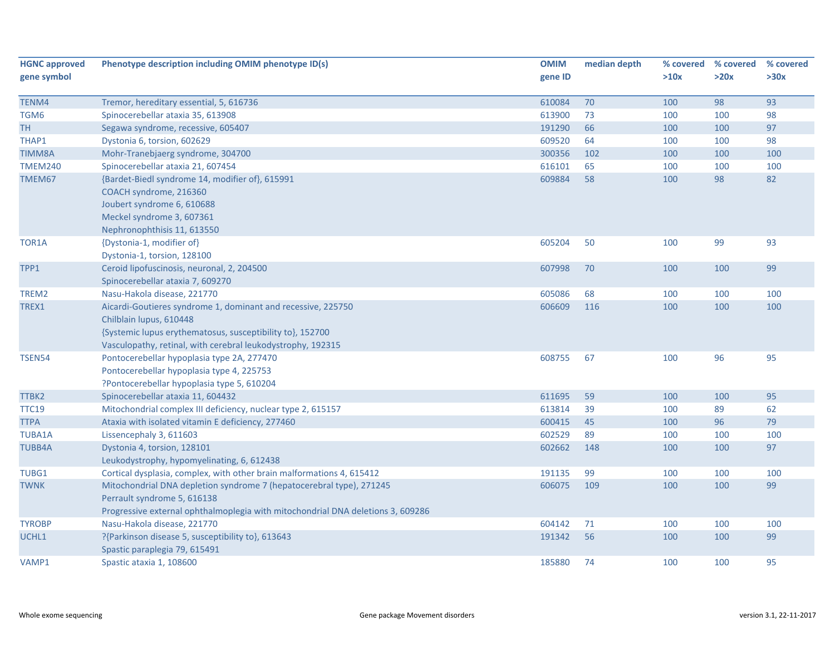| <b>HGNC approved</b> | Phenotype description including OMIM phenotype ID(s)                            | <b>OMIM</b> | median depth | % covered | % covered | % covered |
|----------------------|---------------------------------------------------------------------------------|-------------|--------------|-----------|-----------|-----------|
| gene symbol          |                                                                                 | gene ID     |              | >10x      | >20x      | >30x      |
|                      |                                                                                 |             |              |           |           |           |
| TENM4                | Tremor, hereditary essential, 5, 616736                                         | 610084      | 70           | 100       | 98        | 93        |
| TGM6                 | Spinocerebellar ataxia 35, 613908                                               | 613900      | 73           | 100       | 100       | 98        |
| TН                   | Segawa syndrome, recessive, 605407                                              | 191290      | 66           | 100       | 100       | 97        |
| THAP1                | Dystonia 6, torsion, 602629                                                     | 609520      | 64           | 100       | 100       | 98        |
| <b>TIMM8A</b>        | Mohr-Tranebjaerg syndrome, 304700                                               | 300356      | 102          | 100       | 100       | 100       |
| <b>TMEM240</b>       | Spinocerebellar ataxia 21, 607454                                               | 616101      | 65           | 100       | 100       | 100       |
| TMEM67               | {Bardet-Biedl syndrome 14, modifier of}, 615991                                 | 609884      | 58           | 100       | 98        | 82        |
|                      | COACH syndrome, 216360                                                          |             |              |           |           |           |
|                      | Joubert syndrome 6, 610688                                                      |             |              |           |           |           |
|                      | Meckel syndrome 3, 607361                                                       |             |              |           |           |           |
|                      | Nephronophthisis 11, 613550                                                     |             |              |           |           |           |
| TOR1A                | {Dystonia-1, modifier of}                                                       | 605204      | 50           | 100       | 99        | 93        |
|                      | Dystonia-1, torsion, 128100                                                     |             |              |           |           |           |
| TPP1                 | Ceroid lipofuscinosis, neuronal, 2, 204500                                      | 607998      | 70           | 100       | 100       | 99        |
|                      | Spinocerebellar ataxia 7, 609270                                                |             |              |           |           |           |
| TREM2                | Nasu-Hakola disease, 221770                                                     | 605086      | 68           | 100       | 100       | 100       |
| TREX1                | Aicardi-Goutieres syndrome 1, dominant and recessive, 225750                    | 606609      | 116          | 100       | 100       | 100       |
|                      | Chilblain lupus, 610448                                                         |             |              |           |           |           |
|                      | {Systemic lupus erythematosus, susceptibility to}, 152700                       |             |              |           |           |           |
|                      | Vasculopathy, retinal, with cerebral leukodystrophy, 192315                     |             |              |           |           |           |
| TSEN54               | Pontocerebellar hypoplasia type 2A, 277470                                      | 608755      | 67           | 100       | 96        | 95        |
|                      | Pontocerebellar hypoplasia type 4, 225753                                       |             |              |           |           |           |
|                      | ?Pontocerebellar hypoplasia type 5, 610204                                      |             |              |           |           |           |
| TTBK2                | Spinocerebellar ataxia 11, 604432                                               | 611695      | 59           | 100       | 100       | 95        |
| <b>TTC19</b>         | Mitochondrial complex III deficiency, nuclear type 2, 615157                    | 613814      | 39           | 100       | 89        | 62        |
| <b>TTPA</b>          | Ataxia with isolated vitamin E deficiency, 277460                               | 600415      | 45           | 100       | 96        | 79        |
| <b>TUBA1A</b>        | Lissencephaly 3, 611603                                                         | 602529      | 89           | 100       | 100       | 100       |
| <b>TUBB4A</b>        | Dystonia 4, torsion, 128101                                                     | 602662      | 148          | 100       | 100       | 97        |
|                      | Leukodystrophy, hypomyelinating, 6, 612438                                      |             |              |           |           |           |
| TUBG1                | Cortical dysplasia, complex, with other brain malformations 4, 615412           | 191135      | 99           | 100       | 100       | 100       |
| <b>TWNK</b>          | Mitochondrial DNA depletion syndrome 7 (hepatocerebral type), 271245            | 606075      | 109          | 100       | 100       | 99        |
|                      | Perrault syndrome 5, 616138                                                     |             |              |           |           |           |
|                      | Progressive external ophthalmoplegia with mitochondrial DNA deletions 3, 609286 |             |              |           |           |           |
| <b>TYROBP</b>        | Nasu-Hakola disease, 221770                                                     | 604142      | 71           | 100       | 100       | 100       |
| UCHL1                | ?{Parkinson disease 5, susceptibility to}, 613643                               | 191342      | 56           | 100       | 100       | 99        |
|                      | Spastic paraplegia 79, 615491                                                   |             |              |           |           |           |
| VAMP1                | Spastic ataxia 1, 108600                                                        | 185880      | 74           | 100       | 100       | 95        |